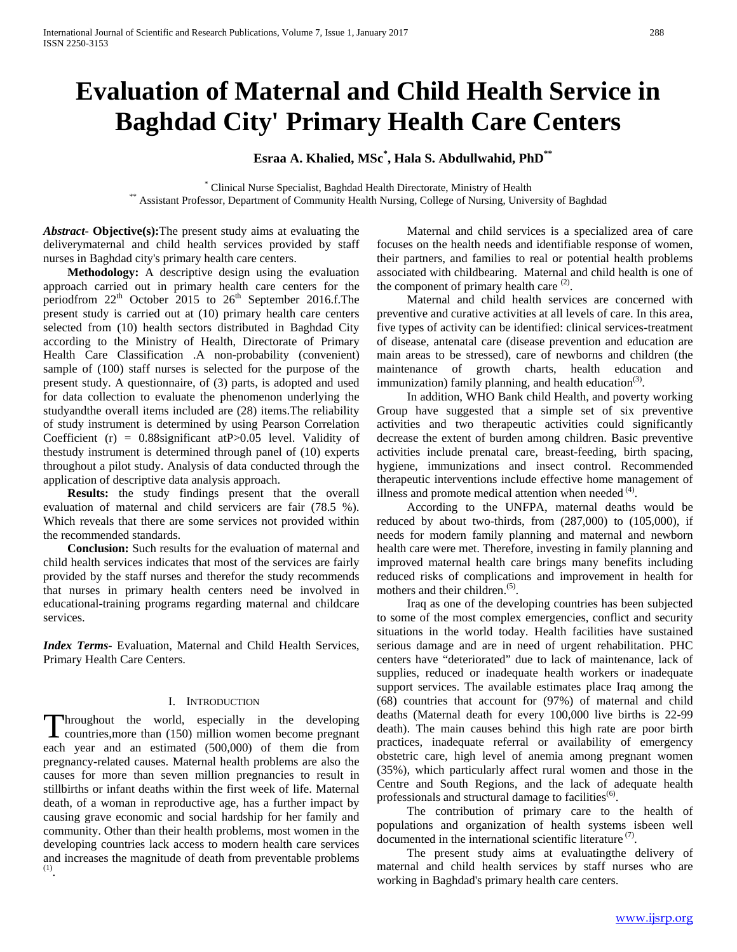# **Evaluation of Maternal and Child Health Service in Baghdad City' Primary Health Care Centers**

# **Esraa A. Khalied, MSc\* , Hala S. Abdullwahid, PhD\*\***

\* Clinical Nurse Specialist, Baghdad Health Directorate, Ministry of Health \*\* Assistant Professor, Department of Community Health Nursing, College of Nursing, University of Baghdad

*Abstract***- Objective(s):**The present study aims at evaluating the deliverymaternal and child health services provided by staff nurses in Baghdad city's primary health care centers.

 **Methodology:** A descriptive design using the evaluation approach carried out in primary health care centers for the periodfrom 22<sup>th</sup> October 2015 to 26<sup>th</sup> September 2016.f.The present study is carried out at (10) primary health care centers selected from (10) health sectors distributed in Baghdad City according to the Ministry of Health, Directorate of Primary Health Care Classification .A non-probability (convenient) sample of (100) staff nurses is selected for the purpose of the present study. A questionnaire, of (3) parts, is adopted and used for data collection to evaluate the phenomenon underlying the studyandthe overall items included are (28) items.The reliability of study instrument is determined by using Pearson Correlation Coefficient (r) =  $0.88$ significant atP $> 0.05$  level. Validity of thestudy instrument is determined through panel of (10) experts throughout a pilot study. Analysis of data conducted through the application of descriptive data analysis approach.

 **Results:** the study findings present that the overall evaluation of maternal and child servicers are fair (78.5 %). Which reveals that there are some services not provided within the recommended standards.

 **Conclusion:** Such results for the evaluation of maternal and child health services indicates that most of the services are fairly provided by the staff nurses and therefor the study recommends that nurses in primary health centers need be involved in educational-training programs regarding maternal and childcare services.

*Index Terms*- Evaluation, Maternal and Child Health Services, Primary Health Care Centers.

# I. INTRODUCTION

hroughout the world, especially in the developing Throughout the world, especially in the developing<br>countries,more than (150) million women become pregnant each year and an estimated (500,000) of them die from pregnancy-related causes. Maternal health problems are also the causes for more than seven million pregnancies to result in stillbirths or infant deaths within the first week of life. Maternal death, of a woman in reproductive age, has a further impact by causing grave economic and social hardship for her family and community. Other than their health problems, most women in the developing countries lack access to modern health care services and increases the magnitude of death from preventable problems  $\frac{(1)}{2}$ 

 Maternal and child services is a specialized area of care focuses on the health needs and identifiable response of women, their partners, and families to real or potential health problems associated with childbearing. Maternal and child health is one of the component of primary health care <sup>(2)</sup>.

 Maternal and child health services are concerned with preventive and curative activities at all levels of care. In this area, five types of activity can be identified: clinical services-treatment of disease, antenatal care (disease prevention and education are main areas to be stressed), care of newborns and children (the maintenance of growth charts, health education and immunization) family planning, and health education<sup>(3)</sup>.

 In addition, WHO Bank child Health, and poverty working Group have suggested that a simple set of six preventive activities and two therapeutic activities could significantly decrease the extent of burden among children. Basic preventive activities include prenatal care, breast-feeding, birth spacing, hygiene, immunizations and insect control. Recommended therapeutic interventions include effective home management of illness and promote medical attention when needed<sup>(4)</sup>.

 According to the UNFPA, maternal deaths would be reduced by about two-thirds, from (287,000) to (105,000), if needs for modern family planning and maternal and newborn health care were met. Therefore, investing in family planning and improved maternal health care brings many benefits including reduced risks of complications and improvement in health for mothers and their children.<sup>(5)</sup>.

 Iraq as one of the developing countries has been subjected to some of the most complex emergencies, conflict and security situations in the world today. Health facilities have sustained serious damage and are in need of urgent rehabilitation. PHC centers have "deteriorated" due to lack of maintenance, lack of supplies, reduced or inadequate health workers or inadequate support services. The available estimates place Iraq among the (68) countries that account for (97%) of maternal and child deaths (Maternal death for every 100,000 live births is 22-99 death). The main causes behind this high rate are poor birth practices, inadequate referral or availability of emergency obstetric care, high level of anemia among pregnant women (35%), which particularly affect rural women and those in the Centre and South Regions, and the lack of adequate health professionals and structural damage to facilities<sup>(6)</sup>.

 The contribution of primary care to the health of populations and organization of health systems isbeen well documented in the international scientific literature<sup>(7)</sup>.

 The present study aims at evaluatingthe delivery of maternal and child health services by staff nurses who are working in Baghdad's primary health care centers.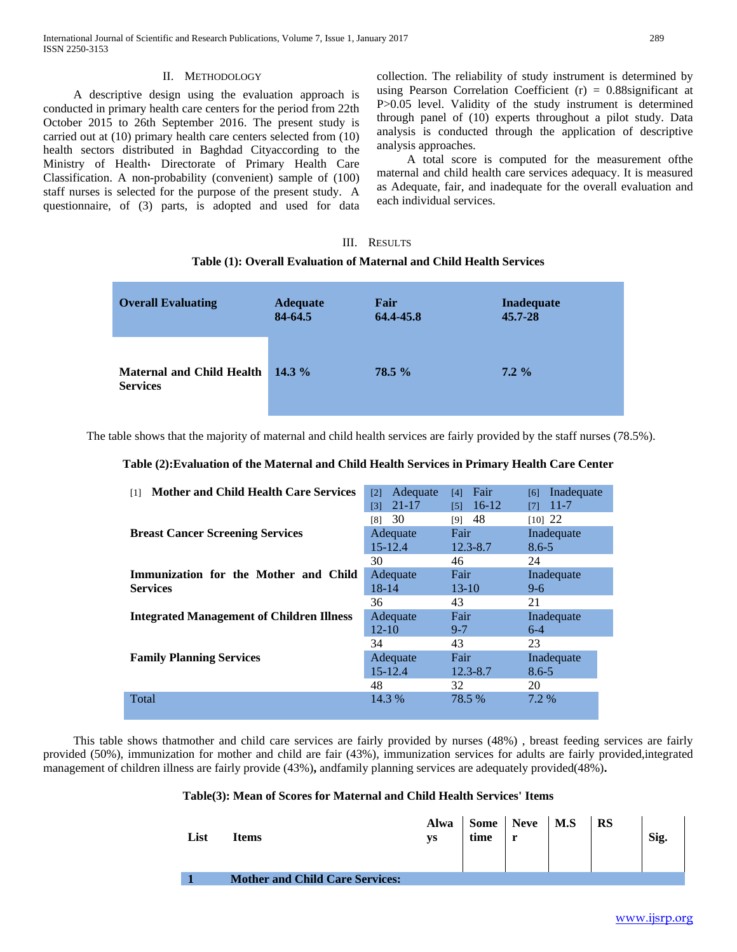## II. METHODOLOGY

 A descriptive design using the evaluation approach is conducted in primary health care centers for the period from 22th October 2015 to 26th September 2016. The present study is carried out at (10) primary health care centers selected from (10) health sectors distributed in Baghdad Cityaccording to the Ministry of Health، Directorate of Primary Health Care Classification. A non-probability (convenient) sample of (100) staff nurses is selected for the purpose of the present study. A questionnaire, of (3) parts, is adopted and used for data collection. The reliability of study instrument is determined by using Pearson Correlation Coefficient  $(r) = 0.88$ significant at P>0.05 level. Validity of the study instrument is determined through panel of (10) experts throughout a pilot study. Data analysis is conducted through the application of descriptive analysis approaches.

 A total score is computed for the measurement ofthe maternal and child health care services adequacy. It is measured as Adequate, fair, and inadequate for the overall evaluation and each individual services.

# III. RESULTS **Table (1): Overall Evaluation of Maternal and Child Health Services**

| <b>Overall Evaluating</b>                           | <b>Adequate</b> | Fair      | <b>Inadequate</b> |
|-----------------------------------------------------|-----------------|-----------|-------------------|
|                                                     | 84-64.5         | 64.4-45.8 | 45.7-28           |
| <b>Maternal and Child Health</b><br><b>Services</b> | 14.3 $%$        | 78.5 %    | $7.2\%$           |

The table shows that the majority of maternal and child health services are fairly provided by the staff nurses (78.5%).

## **Table (2):Evaluation of the Maternal and Child Health Services in Primary Health Care Center**

| <b>Mother and Child Health Care Services</b><br>$\lceil 1 \rceil$ | Adequate<br>$\lceil 2 \rceil$<br>$21 - 17$<br>[3] | Fair<br>[4]<br>$16-12$<br>[5] | Inadequate<br>[6]<br>$11 - 7$<br>[7] |  |
|-------------------------------------------------------------------|---------------------------------------------------|-------------------------------|--------------------------------------|--|
|                                                                   | 30<br>[8]                                         | 48<br>[9]                     | $[10]$ 22                            |  |
| <b>Breast Cancer Screening Services</b>                           | Adequate                                          | Fair                          | Inadequate                           |  |
|                                                                   | $15 - 12.4$                                       | $12.3 - 8.7$                  | $8.6 - 5$                            |  |
|                                                                   | 30                                                | 46                            | 24                                   |  |
| Immunization for the Mother and Child                             | Adequate                                          | Fair                          | Inadequate                           |  |
| <b>Services</b>                                                   | $18 - 14$                                         | $13-10$                       | $9-6$                                |  |
|                                                                   | 36                                                | 43                            | 21                                   |  |
| <b>Integrated Management of Children Illness</b>                  | Adequate                                          | Fair                          | Inadequate                           |  |
|                                                                   | $12 - 10$                                         | $9 - 7$                       | $6-4$                                |  |
|                                                                   | 34                                                | 43                            | 23                                   |  |
| <b>Family Planning Services</b>                                   | Adequate                                          | Fair                          | Inadequate                           |  |
|                                                                   | $15 - 12.4$                                       | $12.3 - 8.7$                  | $8.6 - 5$                            |  |
|                                                                   | 48                                                | 32                            | 20                                   |  |
| Total                                                             | 14.3 %                                            | 78.5 %                        | 7.2 %                                |  |

 This table shows thatmother and child care services are fairly provided by nurses (48%) , breast feeding services are fairly provided (50%), immunization for mother and child are fair (43%), immunization services for adults are fairly provided,integrated management of children illness are fairly provide (43%)**,** andfamily planning services are adequately provided(48%)**.**

### **Table(3): Mean of Scores for Maternal and Child Health Services' Items**

| List | Items                                  | Alwa<br>уs | Some Neve   M.S<br>time | r | <b>RS</b> | Sig. |
|------|----------------------------------------|------------|-------------------------|---|-----------|------|
|      | <b>Mother and Child Care Services:</b> |            |                         |   |           |      |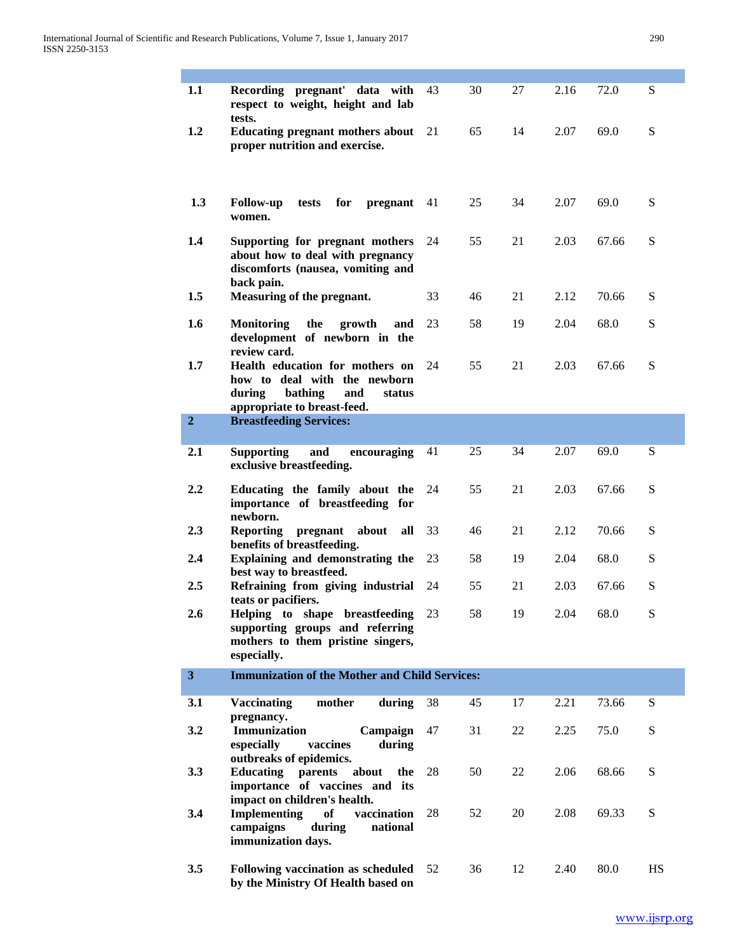| 1.1            | Recording pregnant' data with<br>respect to weight, height and lab<br>tests.                                                         | 43 | 30 | 27 | 2.16 | 72.0  | S  |
|----------------|--------------------------------------------------------------------------------------------------------------------------------------|----|----|----|------|-------|----|
| 1.2            | <b>Educating pregnant mothers about</b><br>proper nutrition and exercise.                                                            | 21 | 65 | 14 | 2.07 | 69.0  | S  |
| 1.3            | for<br><b>Follow-up</b><br>tests<br>pregnant<br>women.                                                                               | 41 | 25 | 34 | 2.07 | 69.0  | S  |
| 1.4            | Supporting for pregnant mothers<br>about how to deal with pregnancy<br>discomforts (nausea, vomiting and<br>back pain.               | 24 | 55 | 21 | 2.03 | 67.66 | S  |
| 1.5            | Measuring of the pregnant.                                                                                                           | 33 | 46 | 21 | 2.12 | 70.66 | S  |
| 1.6            | <b>Monitoring</b><br>the<br>growth<br>and<br>development of newborn in the<br>review card.                                           | 23 | 58 | 19 | 2.04 | 68.0  | S  |
| 1.7            | Health education for mothers on<br>how to deal with the newborn<br>during<br>bathing<br>and<br>status<br>appropriate to breast-feed. | 24 | 55 | 21 | 2.03 | 67.66 | S  |
| $\overline{2}$ | <b>Breastfeeding Services:</b>                                                                                                       |    |    |    |      |       |    |
| 2.1            | and<br><b>Supporting</b><br>encouraging<br>exclusive breastfeeding.                                                                  | 41 | 25 | 34 | 2.07 | 69.0  | S  |
| 2.2            | Educating the family about the<br>importance of breastfeeding for<br>newborn.                                                        | 24 | 55 | 21 | 2.03 | 67.66 | S  |
| 2.3            | <b>Reporting</b><br>pregnant<br>about<br>all<br>benefits of breastfeeding.                                                           | 33 | 46 | 21 | 2.12 | 70.66 | S  |
| 2.4            | Explaining and demonstrating the<br>best way to breastfeed.                                                                          | 23 | 58 | 19 | 2.04 | 68.0  | S  |
| 2.5            | Refraining from giving industrial<br>teats or pacifiers.                                                                             | 24 | 55 | 21 | 2.03 | 67.66 | S  |
| 2.6            | Helping to shape breastfeeding<br>supporting groups and referring<br>mothers to them pristine singers,<br>especially.                | 23 | 58 | 19 | 2.04 | 68.0  | S  |
| 3 <sup>1</sup> | <b>Immunization of the Mother and Child Services:</b>                                                                                |    |    |    |      |       |    |
| 3.1            | mother<br><b>Vaccinating</b><br>during<br>pregnancy.                                                                                 | 38 | 45 | 17 | 2.21 | 73.66 | S  |
| 3.2            | Immunization<br>Campaign<br>especially<br>vaccines<br>during                                                                         | 47 | 31 | 22 | 2.25 | 75.0  | S  |
| 3.3            | outbreaks of epidemics.<br>parents<br>Educating<br>about<br>the<br>importance of vaccines and its<br>impact on children's health.    | 28 | 50 | 22 | 2.06 | 68.66 | S  |
| 3.4            | <b>Implementing</b><br><b>of</b><br>vaccination<br>campaigns<br>during<br>national<br>immunization days.                             | 28 | 52 | 20 | 2.08 | 69.33 | S  |
| 3.5            | Following vaccination as scheduled<br>by the Ministry Of Health based on                                                             | 52 | 36 | 12 | 2.40 | 80.0  | HS |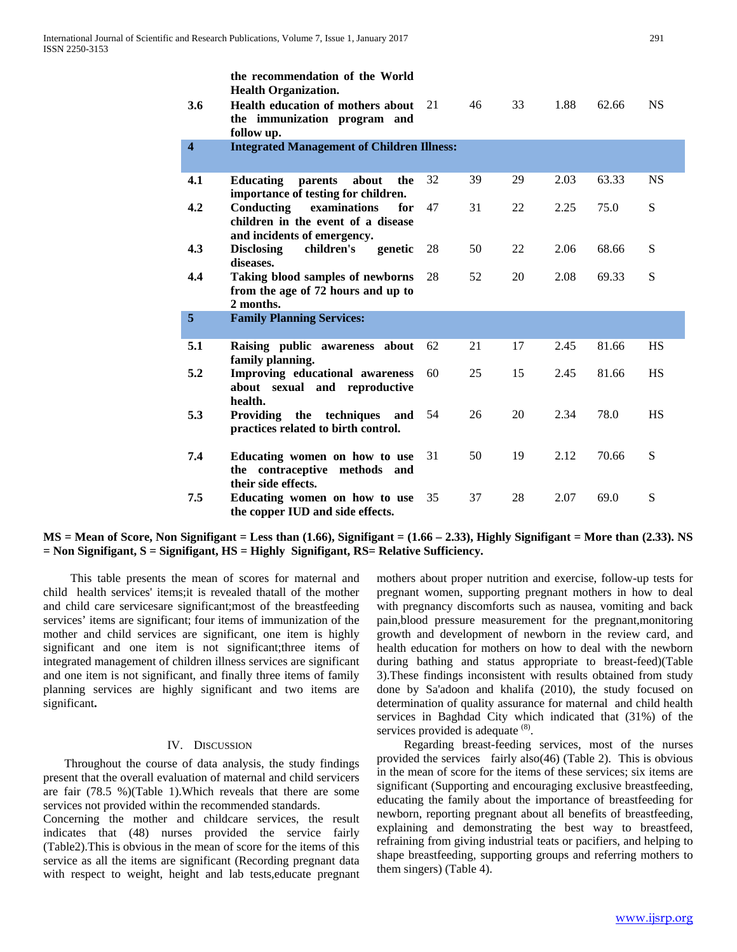|                         | the recommendation of the World<br><b>Health Organization.</b>                                         |    |    |    |      |       |           |
|-------------------------|--------------------------------------------------------------------------------------------------------|----|----|----|------|-------|-----------|
| 3.6                     | Health education of mothers about<br>the immunization program and<br>follow up.                        | 21 | 46 | 33 | 1.88 | 62.66 | <b>NS</b> |
| $\overline{\mathbf{4}}$ | <b>Integrated Management of Children Illness:</b>                                                      |    |    |    |      |       |           |
| 4.1                     | <b>Educating</b><br>parents<br>about<br>the<br>importance of testing for children.                     | 32 | 39 | 29 | 2.03 | 63.33 | <b>NS</b> |
| 4.2                     | Conducting<br>examinations<br>for<br>children in the event of a disease<br>and incidents of emergency. | 47 | 31 | 22 | 2.25 | 75.0  | S         |
| 4.3                     | children's<br>genetic<br><b>Disclosing</b><br>diseases.                                                | 28 | 50 | 22 | 2.06 | 68.66 | S         |
| 4.4                     | Taking blood samples of newborns<br>from the age of 72 hours and up to<br>2 months.                    | 28 | 52 | 20 | 2.08 | 69.33 | S         |
| 5                       | <b>Family Planning Services:</b>                                                                       |    |    |    |      |       |           |
| 5.1                     | Raising public awareness<br>about<br>family planning.                                                  | 62 | 21 | 17 | 2.45 | 81.66 | <b>HS</b> |
| 5.2                     | Improving educational awareness<br>about sexual and reproductive<br>health.                            | 60 | 25 | 15 | 2.45 | 81.66 | <b>HS</b> |
| 5.3                     | Providing the techniques<br>and<br>practices related to birth control.                                 | 54 | 26 | 20 | 2.34 | 78.0  | <b>HS</b> |
| 7.4                     | Educating women on how to use<br>the contraceptive methods and<br>their side effects.                  | 31 | 50 | 19 | 2.12 | 70.66 | S         |
| 7.5                     | Educating women on how to use<br>the copper IUD and side effects.                                      | 35 | 37 | 28 | 2.07 | 69.0  | S         |

**MS = Mean of Score, Non Signifigant = Less than (1.66), Signifigant = (1.66 – 2.33), Highly Signifigant = More than (2.33). NS = Non Signifigant, S = Signifigant, HS = Highly Signifigant, RS= Relative Sufficiency.**

 This table presents the mean of scores for maternal and child health services' items;it is revealed thatall of the mother and child care servicesare significant;most of the breastfeeding services' items are significant; four items of immunization of the mother and child services are significant, one item is highly significant and one item is not significant;three items of integrated management of children illness services are significant and one item is not significant, and finally three items of family planning services are highly significant and two items are significant**.**

### IV. DISCUSSION

 Throughout the course of data analysis, the study findings present that the overall evaluation of maternal and child servicers are fair (78.5 %)(Table 1).Which reveals that there are some services not provided within the recommended standards.

Concerning the mother and childcare services, the result indicates that (48) nurses provided the service fairly (Table2).This is obvious in the mean of score for the items of this service as all the items are significant (Recording pregnant data with respect to weight, height and lab tests,educate pregnant mothers about proper nutrition and exercise, follow-up tests for pregnant women, supporting pregnant mothers in how to deal with pregnancy discomforts such as nausea, vomiting and back pain,blood pressure measurement for the pregnant,monitoring growth and development of newborn in the review card, and health education for mothers on how to deal with the newborn during bathing and status appropriate to breast-feed)(Table 3).These findings inconsistent with results obtained from study done by Sa'adoon and khalifa (2010), the study focused on determination of quality assurance for maternal and child health services in Baghdad City which indicated that (31%) of the services provided is adequate <sup>(8)</sup>.

 Regarding breast-feeding services, most of the nurses provided the services fairly also(46) (Table 2). This is obvious in the mean of score for the items of these services; six items are significant (Supporting and encouraging exclusive breastfeeding, educating the family about the importance of breastfeeding for newborn, reporting pregnant about all benefits of breastfeeding, explaining and demonstrating the best way to breastfeed, refraining from giving industrial teats or pacifiers, and helping to shape breastfeeding, supporting groups and referring mothers to them singers) (Table 4).